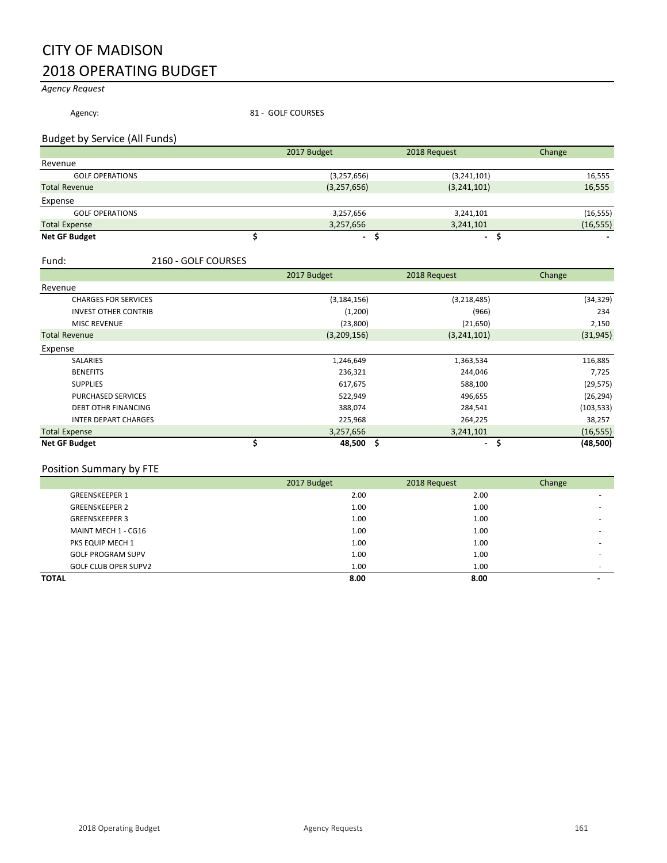# CITY OF MADISON 2018 OPERATING BUDGET

*Agency Request*

Agency: 81 - GOLF COURSES

## Budget by Service (All Funds)

|                        | 2017 Budget    | 2018 Request   | Change    |
|------------------------|----------------|----------------|-----------|
| Revenue                |                |                |           |
| <b>GOLF OPERATIONS</b> | (3,257,656)    | (3,241,101)    | 16,555    |
| <b>Total Revenue</b>   | (3,257,656)    | (3,241,101)    | 16,555    |
| Expense                |                |                |           |
| <b>GOLF OPERATIONS</b> | 3,257,656      | 3,241,101      | (16, 555) |
| <b>Total Expense</b>   | 3,257,656      | 3,241,101      | (16, 555) |
| <b>Net GF Budget</b>   | $\blacksquare$ | $\blacksquare$ |           |

#### Fund: 2160 - GOLF COURSES

|                             | 2017 Budget   | 2018 Request | Change         |
|-----------------------------|---------------|--------------|----------------|
| Revenue                     |               |              |                |
| <b>CHARGES FOR SERVICES</b> | (3, 184, 156) | (3,218,485)  | (34, 329)      |
| <b>INVEST OTHER CONTRIB</b> | (1,200)       | (966)        | 234            |
| <b>MISC REVENUE</b>         | (23,800)      | (21, 650)    | 2,150          |
| <b>Total Revenue</b>        | (3,209,156)   | (3,241,101)  | (31, 945)      |
| Expense                     |               |              |                |
| <b>SALARIES</b>             | 1,246,649     | 1,363,534    | 116,885        |
| <b>BENEFITS</b>             | 236,321       | 244,046      | 7,725          |
| <b>SUPPLIES</b>             | 617,675       | 588,100      | (29, 575)      |
| <b>PURCHASED SERVICES</b>   | 522,949       | 496,655      | (26, 294)      |
| <b>DEBT OTHR FINANCING</b>  | 388,074       | 284,541      | (103, 533)     |
| <b>INTER DEPART CHARGES</b> | 225,968       | 264,225      | 38,257         |
| <b>Total Expense</b>        | 3,257,656     | 3,241,101    | (16, 555)      |
| <b>Net GF Budget</b>        | 48,500 \$     | ۰.           | (48, 500)<br>s |

# Position Summary by FTE

|                             | 2017 Budget | 2018 Request | Change |
|-----------------------------|-------------|--------------|--------|
| <b>GREENSKEEPER 1</b>       | 2.00        | 2.00         |        |
| <b>GREENSKEEPER 2</b>       | 1.00        | 1.00         |        |
| <b>GREENSKEEPER 3</b>       | 1.00        | 1.00         | -      |
| MAINT MECH 1 - CG16         | 1.00        | 1.00         |        |
| PKS EQUIP MECH 1            | 1.00        | 1.00         |        |
| <b>GOLF PROGRAM SUPV</b>    | 1.00        | 1.00         |        |
| <b>GOLF CLUB OPER SUPV2</b> | 1.00        | 1.00         |        |
| <b>TOTAL</b>                | 8.00        | 8.00         | -      |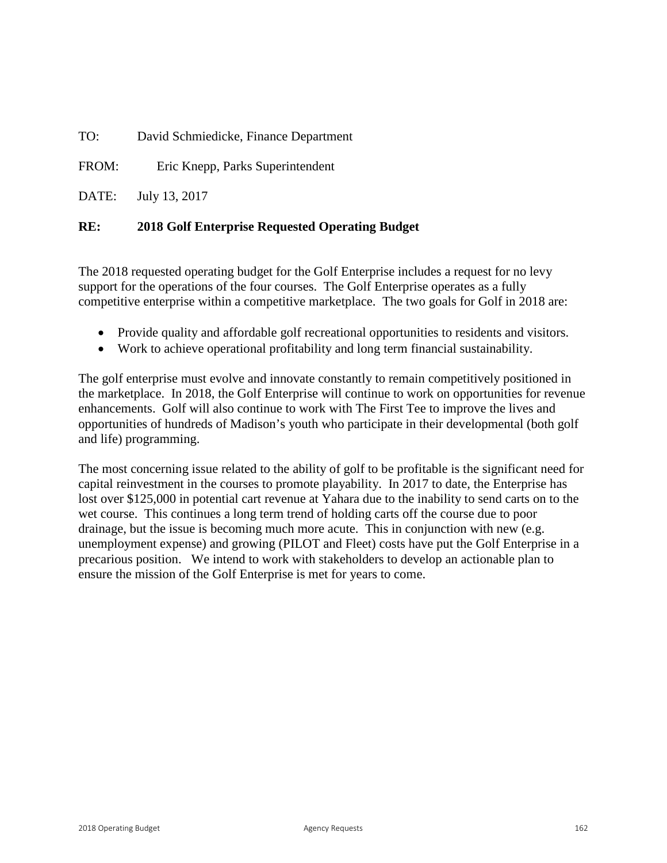TO: David Schmiedicke, Finance Department

FROM: Eric Knepp, Parks Superintendent

DATE: July 13, 2017

# **RE: 2018 Golf Enterprise Requested Operating Budget**

The 2018 requested operating budget for the Golf Enterprise includes a request for no levy support for the operations of the four courses. The Golf Enterprise operates as a fully competitive enterprise within a competitive marketplace. The two goals for Golf in 2018 are:

- Provide quality and affordable golf recreational opportunities to residents and visitors.
- Work to achieve operational profitability and long term financial sustainability.

The golf enterprise must evolve and innovate constantly to remain competitively positioned in the marketplace. In 2018, the Golf Enterprise will continue to work on opportunities for revenue enhancements. Golf will also continue to work with The First Tee to improve the lives and opportunities of hundreds of Madison's youth who participate in their developmental (both golf and life) programming.

The most concerning issue related to the ability of golf to be profitable is the significant need for capital reinvestment in the courses to promote playability. In 2017 to date, the Enterprise has lost over \$125,000 in potential cart revenue at Yahara due to the inability to send carts on to the wet course. This continues a long term trend of holding carts off the course due to poor drainage, but the issue is becoming much more acute. This in conjunction with new (e.g. unemployment expense) and growing (PILOT and Fleet) costs have put the Golf Enterprise in a precarious position. We intend to work with stakeholders to develop an actionable plan to ensure the mission of the Golf Enterprise is met for years to come.